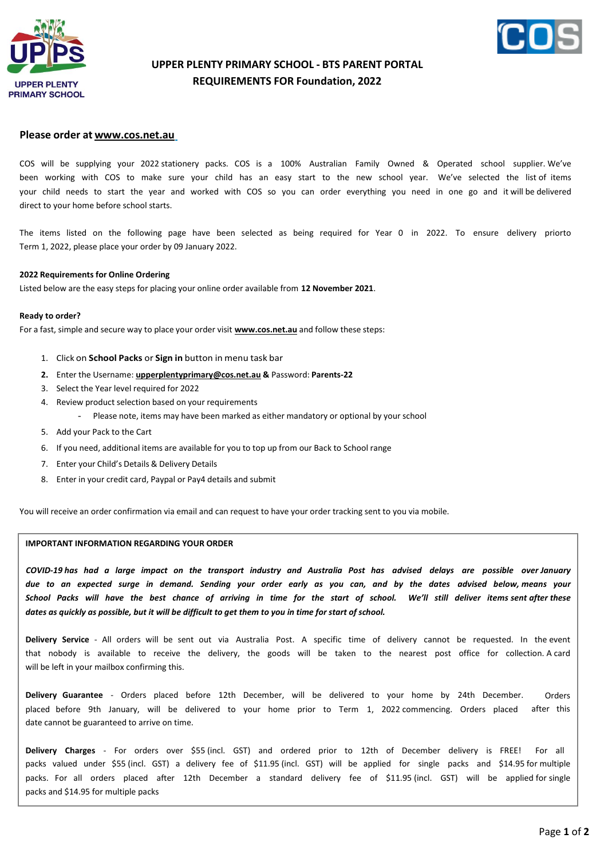



# **UPPER PLENTY PRIMARY SCHOOL - BTS PARENT PORTAL REQUIREMENTS FOR Foundation, 2022**

## **Please order at [www.cos.net.au](http://www.cos.net.au/)**

COS will be supplying your 2022 stationery packs. COS is a 100% Australian Family Owned & Operated school supplier. We've been working with COS to make sure your child has an easy start to the new school year. We've selected the list of items your child needs to start the year and worked with COS so you can order everything you need in one go and it will be delivered direct to your home before school starts.

The items listed on the following page have been selected as being required for Year 0 in 2022. To ensure delivery priorto Term 1, 2022, please place your order by 09 January 2022.

### **2022 Requirements for Online Ordering**

Listed below are the easy steps for placing your online order available from **12 November 2021**.

#### **Ready to order?**

For a fast, simple and secure way to place your order visit **[www.cos.net.au](http://www.cos.net.au/)** and follow these steps:

- 1. Click on **School Packs** or **Sign in** button in menu task bar
- **2.** Enter the Username: **[upperplentyprimary@cos.net.au](mailto:upperplentyprimary@cos.net.au) &** Password: **Parents-22**
- 3. Select the Year level required for 2022
- 4. Review product selection based on your requirements
	- Please note, items may have been marked as either mandatory or optional by your school
- 5. Add your Pack to the Cart
- 6. If you need, additional items are available for you to top up from our Back to School range
- 7. Enter your Child's Details & Delivery Details
- 8. Enter in your credit card, Paypal or Pay4 details and submit

You will receive an order confirmation via email and can request to have your order tracking sent to you via mobile.

### **IMPORTANT INFORMATION REGARDING YOUR ORDER**

*COVID-19 has had a large impact on the transport industry and Australia Post has advised delays are possible over January due to an expected surge in demand. Sending your order early as you can, and by the dates advised below, means your School Packs will have the best chance of arriving in time for the start of school. We'll still deliver items sent after these* dates as quickly as possible, but it will be difficult to get them to you in time for start of school.

**Delivery Service** - All orders will be sent out via Australia Post. A specific time of delivery cannot be requested. In the event that nobody is available to receive the delivery, the goods will be taken to the nearest post office for collection. A card will be left in your mailbox confirming this.

**Delivery Guarantee** - Orders placed before 12th December, will be delivered to your home by 24th December. placed before 9th January, will be delivered to your home prior to Term 1, 2022 commencing. Orders placed date cannot be guaranteed to arrive on time. Orders after this

**Delivery Charges** - For orders over \$55 (incl. GST) and ordered prior to 12th of December delivery is FREE! For all packs valued under \$55 (incl. GST) a delivery fee of \$11.95 (incl. GST) will be applied for single packs and \$14.95 for multiple packs. For all orders placed after 12th December a standard delivery fee of \$11.95 (incl. GST) will be applied for single packs and \$14.95 for multiple packs